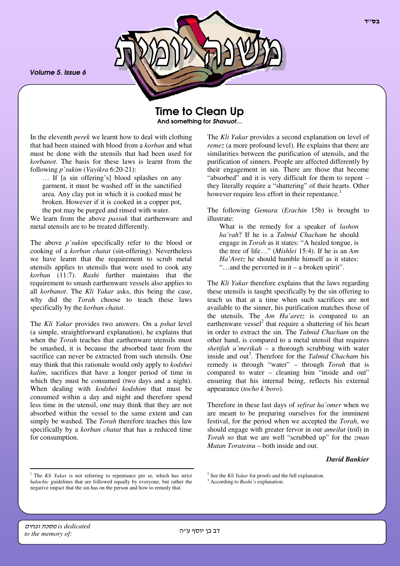*Volume 5. Issue 6*



Time to Clean Up And something for *Shavuot*…

In the eleventh *perek* we learnt how to deal with clothing that had been stained with blood from a *korban* and what must be done with the utensils that had been used for *korbanot*. The basis for these laws is learnt from the following *p'sukim* (*Vayikra* 6:20-21):

… If [a sin offering's] blood splashes on any garment, it must be washed off in the sanctified area. Any clay pot in which it is cooked must be broken. However if it is cooked in a copper pot, the pot may be purged and rinsed with water.

We learn from the above *passuk* that earthenware and metal utensils are to be treated differently.

The above *p'sukim* specifically refer to the blood or cooking of a *korban chatat* (sin-offering). Nevertheless we have learnt that the requirement to scrub metal utensils applies to utensils that were used to cook any *korban* (11:7). *Rashi* further maintains that the requirement to smash earthenware vessels also applies to all *korbanot*. The *Kli Yakar* asks, this being the case, why did the *Torah* choose to teach these laws specifically by the *korban chatat*.

The *Kli Yakar* provides two answers. On a *pshat* level (a simple, straightforward explanation), he explains that when the *Torah* teaches that earthenware utensils must be smashed, it is because the absorbed taste from the sacrifice can never be extracted from such utensils. One may think that this rationale would only apply to *kodshei kalim*, sacrifices that have a longer period of time in which they must be consumed (two days and a night). When dealing with *kodshei kodshim* that must be consumed within a day and night and therefore spend less time in the utensil, one may think that they are not absorbed within the vessel to the same extent and can simply be washed. The *Torah* therefore teaches this law specifically by a *korban chatat* that has a reduced time for consumption.

The *Kli Yakar* provides a second explanation on level of *remez* (a more profound level). He explains that there are similarities between the purification of utensils, and the purification of sinners. People are affected differently by their engagement in sin. There are those that become "absorbed" and it is very difficult for them to repent – they literally require a "shattering" of their hearts. Other however require less effort in their repentance. 1

The following *Gemara* (*Erachin* 15b) is brought to illustrate:

What is the remedy for a speaker of *lashon ha'rah*? If he is a *Talmid Chacham* he should engage in *Torah* as it states: "A healed tongue, is the tree of life…" (*Mishlei* 15:4). If he is an *Am Ha'Aretz* he should humble himself as it states: "…and the perverted in it – a broken spirit".

The *Kli Yakar* therefore explains that the laws regarding these utensils is taught specifically by the sin offering to teach us that at a time when such sacrifices are not available to the sinner, his purification matches those of the utensils. The *Am Ha'aretz* is compared to an earthenware vessel<sup>2</sup> that require a shattering of his heart in order to extract the sin. The *Talmid Chacham* on the other hand, is compared to a metal utensil that requires *shetifah u'merikah* – a thorough scrubbing with water inside and out 3 . Therefore for the *Talmid Chacham* his remedy is through "water" – through *Torah* that is compared to water – cleaning him "inside and out" ensuring that his internal being, reflects his external appearance (*tocho k'boro*).

Therefore in these last days of *sefirat ha'omer* when we are meant to be preparing ourselves for the imminent festival, for the period when we accepted the *Torah*, we should engage with greater fervor in our *ameilut* (toil) in *Torah* so that we are well "scrubbed up" for the *zman Matan Torateinu* – both inside and out.

### *David Bankier*

<sup>&</sup>lt;sup>1</sup> The *Kli Yakar* is not referring to repentance per se, which has strict *halachic* guidelines that are followed equally by everyone, but rather the negative impact that the sin has on the person and how to remedy that.

<sup>2</sup> See the *Kli Yakar* for proofs and the full explanation.

<sup>&</sup>lt;sup>3</sup> According to *Rashi's* explanation.